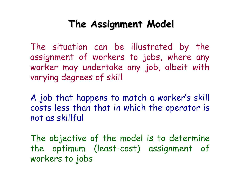The situation can be illustrated by the assignment of workers to jobs, where any worker may undertake any job, albeit with varying degrees of skill

A job that happens to match a worker's skill costs less than that in which the operator is not as skillful

The objective of the model is to determine the optimum (least cost) assignment of workers to jobs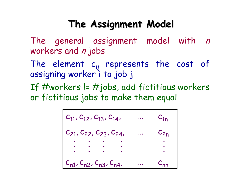The general assignment model with n workers and *n* jobs

The element  $c_{ij}$  represents the cost of assigning worker i to job j

If  $\#$ workers !=  $\#$ jobs, add fictitious workers or fictitious jobs to make them equal

| $C_{11}$ , $C_{12}$ , $C_{13}$ , $C_{14}$ ,             |  |  |  | $c_{1n}$ |                  |
|---------------------------------------------------------|--|--|--|----------|------------------|
| $C_{21}, C_{22}, C_{23}, C_{24},$                       |  |  |  |          | $c_{2n}$         |
|                                                         |  |  |  |          |                  |
|                                                         |  |  |  |          | $\ddot{\bullet}$ |
|                                                         |  |  |  |          |                  |
| $c_{nn}$<br>$C_{n1}$ , $C_{n2}$ , $C_{n3}$ , $C_{n4}$ , |  |  |  |          |                  |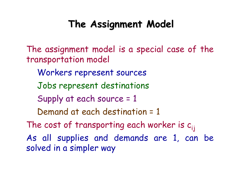The assignment model is a special case of the transportation model

- Workers represent sources
- Jobs represent destinations
- Supply at each source = 1
- Demand at each destination = 1
- The cost of transporting each worker is  $c_{ii}$

As all supplies and demands are 1, can be solved in a simpler way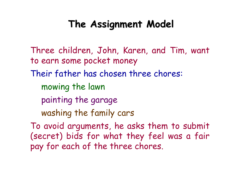Three children, John, Karen, and Tim, want to earn some pocket money Their father has chosen three chores: mowing the lawn painting the garage washing the family cars To avoid arguments, he asks them to submit (secret) bids for what they feel was a fair pay for each of the three chores.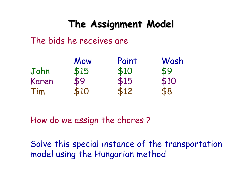#### The bids he receives are

|       | Mow  | Paint | Wash |
|-------|------|-------|------|
| John  | \$15 | \$10  | \$9  |
| Karen | \$9  | \$15  | \$10 |
| Tim   | \$10 | \$12  | \$8  |

How do we assign the chores ?

Solve this special instance of the transportation model using the Hungarian method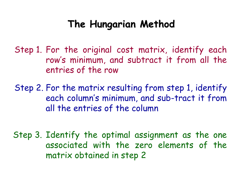Step 1. For the original cost matrix, identify each row's minimum, and subtract it from all the entries of the row

Step 2. For the matrix resulting from step 1, identify each column's minimum, and sub tract it from all the entries of the column

Step 3. Identify the optimal assignment as the one associated with the zero elements of the matrix obtained in step 2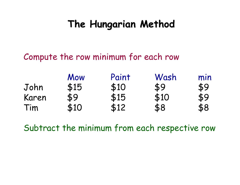#### Compute the row minimum for each row

|       | Mow  | Paint | Wash | min |
|-------|------|-------|------|-----|
| John  | \$15 | \$10  | \$9  | \$9 |
| Karen | \$9  | \$15  | \$10 | \$9 |
| Tim   | \$10 | \$12  | \$8  | \$8 |

Subtract the minimum from each respective row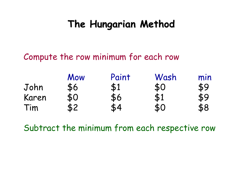### Compute the row minimum for each row

|       | Mow | Paint | Wash | min |
|-------|-----|-------|------|-----|
| John  | \$6 | \$1   | \$0  | \$9 |
| Karen | \$0 | \$6   | \$1  | \$9 |
| Tim   | \$2 | \$4   | \$0  | \$8 |

Subtract the minimum from each respective row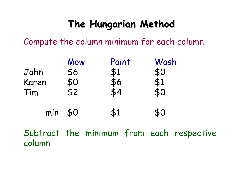Compute the column minimum for each column

| John<br>Karen<br>Tim | Mow<br>\$6<br>\$0<br>$\overline{\textbf{52}}$ | Paint<br>\$1<br>\$64 | Wash<br>\$0<br>\$1<br>\$0 |
|----------------------|-----------------------------------------------|----------------------|---------------------------|
| min                  | \$0                                           | \$1                  | \$0                       |
|                      |                                               |                      |                           |

Subtract the minimum from each respective column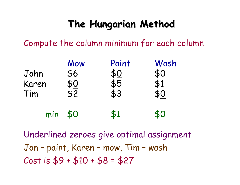Compute the column minimum for each column

| John<br>Karen<br>Tim | Mow<br>\$6<br>\$0<br>$\overline{52}$ | Paint<br><u>\$0</u><br>\$5<br>\$3 | Wash<br>\$0<br>$\overline{51}$<br>\$0 |
|----------------------|--------------------------------------|-----------------------------------|---------------------------------------|
| min                  | \$0                                  | \$1                               | \$0                                   |

Underlined zeroes give optimal assignment Jon - paint, Karen - mow, Tim - wash Cost is  $$9 + $10 + $8 = $27$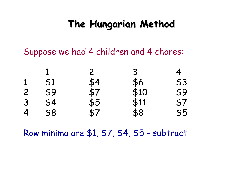Suppose we had 4 children and 4 chores:

|                |     | $\overline{2}$ | 3           |            |
|----------------|-----|----------------|-------------|------------|
|                | \$1 |                |             |            |
|                | \$9 | \$4<br>\$7     | \$6<br>\$10 | \$3<br>\$9 |
| $\overline{3}$ | \$4 | \$5            | \$11        | \$7        |
|                | \$8 | \$7            | \$8         | \$5        |

Row minima are \$1, \$7, \$4, \$5 - subtract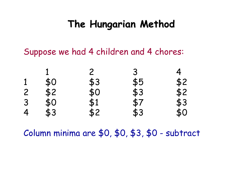Suppose we had 4 children and 4 chores:

|                |            | $\overline{2}$ | $\mathbf{3}$ |        |
|----------------|------------|----------------|--------------|--------|
|                |            |                |              | \$\$23 |
| $\overline{2}$ | \$0<br>\$2 | \$30<br>\$01   | $$5$<br>$$3$ |        |
| 3              | \$0        |                | \$7          |        |
|                | \$3        | \$2            | \$3          | \$0    |

Column minima are \$0, \$0, \$3, \$0 - subtract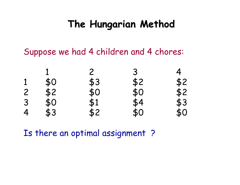Suppose we had 4 children and 4 chores:

|                |            | $\overline{c}$           | $\mathbf{3}$                           |                         |
|----------------|------------|--------------------------|----------------------------------------|-------------------------|
|                |            |                          |                                        |                         |
| $\mathsf{S}$   | \$0<br>\$2 | <b>\$\$01<br/>\$\$12</b> | \$<br>\$<br>\$<br>\$<br>\$<br>\$<br>\$ | \$\$\$3<br>\$\$3<br>\$0 |
| $\overline{3}$ | \$0        |                          |                                        |                         |
|                | \$3        |                          |                                        |                         |

Is there an optimal assignment ?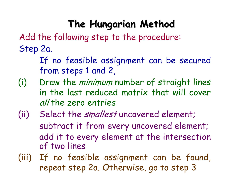Add the following step to the procedure: Step 2a.

- If no feasible assignment can be secured from steps 1 and 2,
- Draw the *minimum* number of straight lines in the last reduced matrix that will cover all the zero entries (i)
- add it to every element at the intersection of two lines (ii) Select the *smallest* uncovered element; subtract it from every uncovered element;
- (iii) If no feasible assignment can be found, repeat step 2a. Otherwise, go to step 3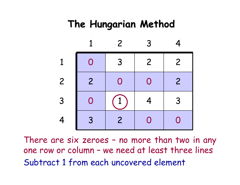

There are six zeroes – no more than two in any one row or column – we need at least three lines Subtract 1 from each uncovered element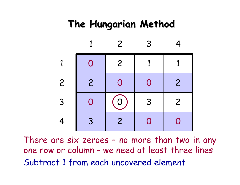

There are six zeroes – no more than two in any one row or column – we need at least three lines Subtract 1 from each uncovered element